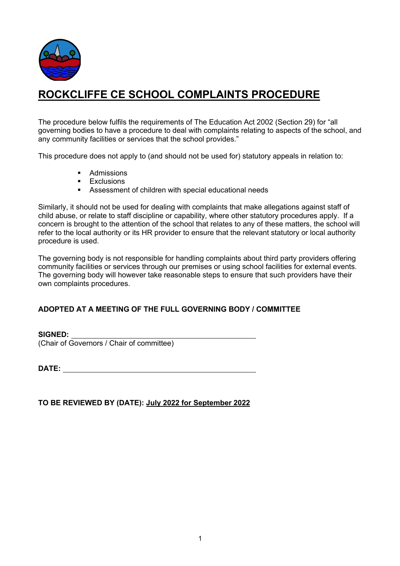

# **ROCKCLIFFE CE SCHOOL COMPLAINTS PROCEDURE**

The procedure below fulfils the requirements of The Education Act 2002 (Section 29) for "all governing bodies to have a procedure to deal with complaints relating to aspects of the school, and any community facilities or services that the school provides."

This procedure does not apply to (and should not be used for) statutory appeals in relation to:

- Admissions
- Exclusions
- Assessment of children with special educational needs

Similarly, it should not be used for dealing with complaints that make allegations against staff of child abuse, or relate to staff discipline or capability, where other statutory procedures apply. If a concern is brought to the attention of the school that relates to any of these matters, the school will refer to the local authority or its HR provider to ensure that the relevant statutory or local authority procedure is used.

The governing body is not responsible for handling complaints about third party providers offering community facilities or services through our premises or using school facilities for external events. The governing body will however take reasonable steps to ensure that such providers have their own complaints procedures.

## **ADOPTED AT A MEETING OF THE FULL GOVERNING BODY / COMMITTEE**

**SIGNED:**  (Chair of Governors / Chair of committee)

**DATE:** 

**TO BE REVIEWED BY (DATE): July 2022 for September 2022**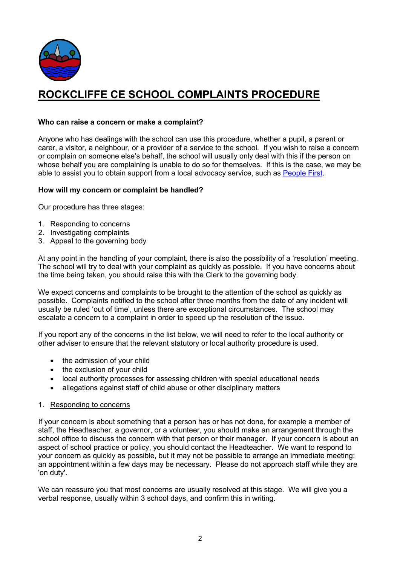

# **ROCKCLIFFE CE SCHOOL COMPLAINTS PROCEDURE**

#### **Who can raise a concern or make a complaint?**

Anyone who has dealings with the school can use this procedure, whether a pupil, a parent or carer, a visitor, a neighbour, or a provider of a service to the school. If you wish to raise a concern or complain on someone else's behalf, the school will usually only deal with this if the person on whose behalf you are complaining is unable to do so for themselves. If this is the case, we may be able to assist you to obtain support from a local advocacy service, such as People First.

#### **How will my concern or complaint be handled?**

Our procedure has three stages:

- 1. Responding to concerns
- 2. Investigating complaints
- 3. Appeal to the governing body

At any point in the handling of your complaint, there is also the possibility of a 'resolution' meeting. The school will try to deal with your complaint as quickly as possible. If you have concerns about the time being taken, you should raise this with the Clerk to the governing body.

We expect concerns and complaints to be brought to the attention of the school as quickly as possible. Complaints notified to the school after three months from the date of any incident will usually be ruled 'out of time', unless there are exceptional circumstances. The school may escalate a concern to a complaint in order to speed up the resolution of the issue.

If you report any of the concerns in the list below, we will need to refer to the local authority or other adviser to ensure that the relevant statutory or local authority procedure is used.

- the admission of your child
- the exclusion of your child
- local authority processes for assessing children with special educational needs
- allegations against staff of child abuse or other disciplinary matters

#### 1. Responding to concerns

If your concern is about something that a person has or has not done, for example a member of staff, the Headteacher, a governor, or a volunteer, you should make an arrangement through the school office to discuss the concern with that person or their manager. If your concern is about an aspect of school practice or policy, you should contact the Headteacher. We want to respond to your concern as quickly as possible, but it may not be possible to arrange an immediate meeting: an appointment within a few days may be necessary. Please do not approach staff while they are 'on duty'.

We can reassure you that most concerns are usually resolved at this stage. We will give you a verbal response, usually within 3 school days, and confirm this in writing.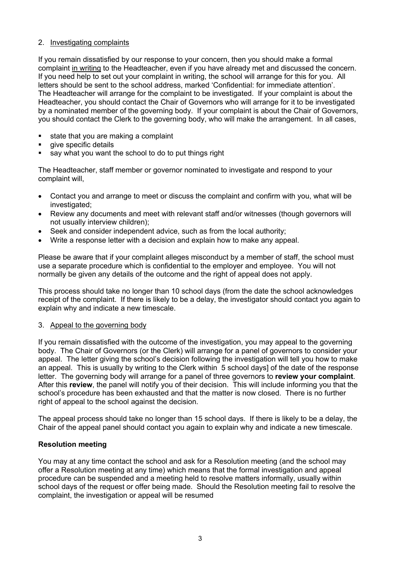## 2. Investigating complaints

If you remain dissatisfied by our response to your concern, then you should make a formal complaint in writing to the Headteacher, even if you have already met and discussed the concern. If you need help to set out your complaint in writing, the school will arrange for this for you. All letters should be sent to the school address, marked 'Confidential: for immediate attention'. The Headteacher will arrange for the complaint to be investigated. If your complaint is about the Headteacher, you should contact the Chair of Governors who will arrange for it to be investigated by a nominated member of the governing body. If your complaint is about the Chair of Governors, you should contact the Clerk to the governing body, who will make the arrangement. In all cases,

- state that you are making a complaint
- § give specific details
- say what you want the school to do to put things right

The Headteacher, staff member or governor nominated to investigate and respond to your complaint will,

- Contact you and arrange to meet or discuss the complaint and confirm with you, what will be investigated;
- Review any documents and meet with relevant staff and/or witnesses (though governors will not usually interview children);
- Seek and consider independent advice, such as from the local authority;
- Write a response letter with a decision and explain how to make any appeal.

Please be aware that if your complaint alleges misconduct by a member of staff, the school must use a separate procedure which is confidential to the employer and employee. You will not normally be given any details of the outcome and the right of appeal does not apply.

This process should take no longer than 10 school days (from the date the school acknowledges receipt of the complaint. If there is likely to be a delay, the investigator should contact you again to explain why and indicate a new timescale.

## 3. Appeal to the governing body

If you remain dissatisfied with the outcome of the investigation, you may appeal to the governing body. The Chair of Governors (or the Clerk) will arrange for a panel of governors to consider your appeal. The letter giving the school's decision following the investigation will tell you how to make an appeal. This is usually by writing to the Clerk within 5 school days] of the date of the response letter. The governing body will arrange for a panel of three governors to **review your complaint**. After this **review**, the panel will notify you of their decision. This will include informing you that the school's procedure has been exhausted and that the matter is now closed. There is no further right of appeal to the school against the decision.

The appeal process should take no longer than 15 school days. If there is likely to be a delay, the Chair of the appeal panel should contact you again to explain why and indicate a new timescale.

## **Resolution meeting**

You may at any time contact the school and ask for a Resolution meeting (and the school may offer a Resolution meeting at any time) which means that the formal investigation and appeal procedure can be suspended and a meeting held to resolve matters informally, usually within school days of the request or offer being made. Should the Resolution meeting fail to resolve the complaint, the investigation or appeal will be resumed